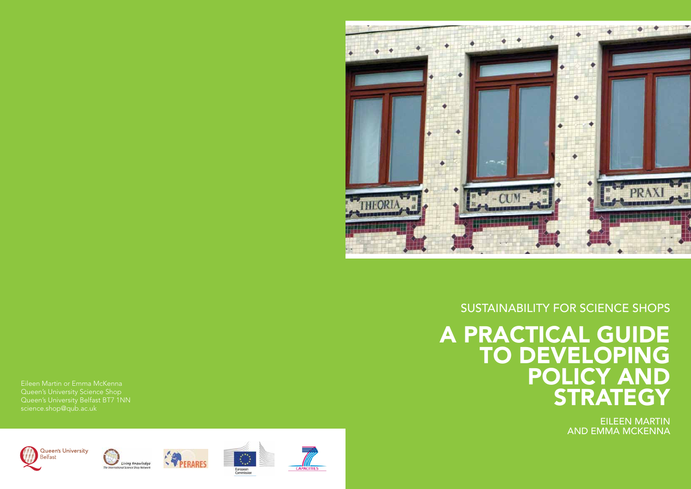# A PRACTICAL GUIDE TO DEVELOPING POLICY AND **STRATEGY** Su stainability for Science Shop





Eileen Martin or Emma McKenna Queen's University Science Shop Queen's University Belfast BT7 1NN science.shop@qub.ac.uk









Eileen Martin and Emma McKenna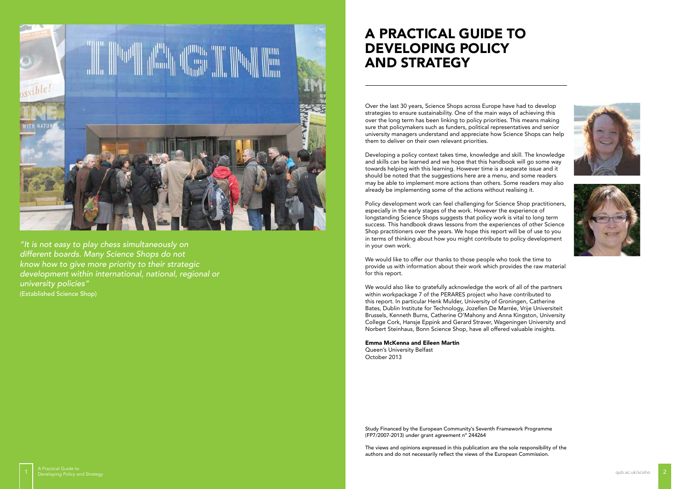Over the last 30 years, Science Shops across Europe have had to develop strategies to ensure sustainability. One of the main ways of achieving this over the long term has been linking to policy priorities. This means making sure that policymakers such as funders, political representatives and senior university managers understand and appreciate how Science Shops can help them to deliver on their own relevant priorities.

Developing a policy context takes time, knowledge and skill. The knowledge and skills can be learned and we hope that this handbook will go some way towards helping with this learning. However time is a separate issue and it should be noted that the suggestions here are a menu, and some readers may be able to implement more actions than others. Some readers may also already be implementing some of the actions without realising it.

Policy development work can feel challenging for Science Shop practitioners, especially in the early stages of the work. However the experience of longstanding Science Shops suggests that policy work is vital to long term success. This handbook draws lessons from the experiences of other Science Shop practitioners over the years. We hope this report will be of use to you in terms of thinking about how you might contribute to policy development in your own work.







We would like to offer our thanks to those people who took the time to provide us with information about their work which provides the raw material for this report.

We would also like to gratefully acknowledge the work of all of the partners within workpackage 7 of the PERARES project who have contributed to this report. In particular Henk Mulder, University of Groningen, Catherine Bates, Dublin Institute for Technology, Jozefien De Marrée, Vrije Universiteit Brussels, Kenneth Burns, Catherine O'Mahony and Anna Kingston, University College Cork, Hansje Eppink and Gerard Straver, Wageningen University and Norbert Steinhaus, Bonn Science Shop, have all offered valuable insights.

Emma McKenna and Eileen Martin

Queen's University Belfast October 2013

# A PRACTICAL GUIDE TO DEVELOPING POLICY AND STRATEGY



*"It is not easy to play chess simultaneously on different boards. Many Science Shops do not know how to give more priority to their strategic development within international, national, regional or university policies"*  (Established Science Shop)

> Study Financed by the European Community's Seventh Framework Programme (FP7/2007-2013) under grant agreement n° 244264

The views and opinions expressed in this publication are the sole responsibility of the authors and do not necessarily reflect the views of the European Commission.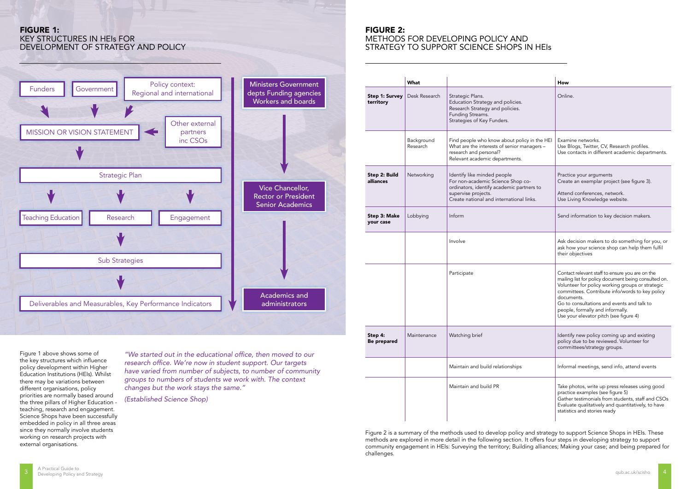|                             | What                   |                                                                                                                                                                                  | How                                                                                                                                                                                                                                                                                                                                                      |
|-----------------------------|------------------------|----------------------------------------------------------------------------------------------------------------------------------------------------------------------------------|----------------------------------------------------------------------------------------------------------------------------------------------------------------------------------------------------------------------------------------------------------------------------------------------------------------------------------------------------------|
| Step 1: Survey<br>territory | Desk Research          | Strategic Plans.<br>Education Strategy and policies.<br>Research Strategy and policies.<br>Funding Streams.<br>Strategies of Key Funders.                                        | Online.                                                                                                                                                                                                                                                                                                                                                  |
|                             | Background<br>Research | Find people who know about policy in the HEI<br>What are the interests of senior managers -<br>research and personal?<br>Relevant academic departments.                          | Examine networks.<br>Use Blogs, Twitter, CV, Research profiles.<br>Use contacts in different academic departments.                                                                                                                                                                                                                                       |
| Step 2: Build<br>alliances  | Networking             | Identify like minded people<br>For non-academic Science Shop co-<br>ordinators, identify academic partners to<br>supervise projects.<br>Create national and international links. | Practice your arguments<br>Create an exemplar project (see figure 3).<br>Attend conferences, network.<br>Use Living Knowledge website.                                                                                                                                                                                                                   |
| Step 3: Make<br>your case   | Lobbying               | Inform                                                                                                                                                                           | Send information to key decision makers.                                                                                                                                                                                                                                                                                                                 |
|                             |                        | Involve                                                                                                                                                                          | Ask decision makers to do something for you, or<br>ask how your science shop can help them fulfil<br>their objectives                                                                                                                                                                                                                                    |
|                             |                        | Participate                                                                                                                                                                      | Contact relevant staff to ensure you are on the<br>mailing list for policy document being consulted on.<br>Volunteer for policy working groups or strategic<br>committees. Contribute info/words to key policy<br>documents.<br>Go to consultations and events and talk to<br>people, formally and informally.<br>Use your elevator pitch (see figure 4) |
| этер 4:<br>Be prepared      | Maintenance            | Watching brief                                                                                                                                                                   | Identify new policy coming up and existing<br>policy due to be reviewed. Volunteer for<br>committees/strategy groups.                                                                                                                                                                                                                                    |
|                             |                        | Maintain and build relationships                                                                                                                                                 | Informal meetings, send info, attend events                                                                                                                                                                                                                                                                                                              |
|                             |                        | Maintain and build PR                                                                                                                                                            | Take photos, write up press releases using good<br>practice examples (see figure 5)<br>Gather testimonials from students, staff and CSOs<br>Evaluate qualitatively and quantitatively, to have<br>statistics and stories ready                                                                                                                           |

# Figure 2:

# Methods for developing policy and strategy to support Science Shops in HEIs



Figure 1 above shows some of the key structures which influence policy development within Higher Education Institutions (HEIs). Whilst there may be variations between different organisations, policy priorities are normally based around the three pillars of Higher Education teaching, research and engagement. Science Shops have been successfully embedded in policy in all three areas since they normally involve students working on research projects with external organisations.

# Figure 1:

# Key Structures in HEIs for development of strategy and policy

"We started out in the educational office, then moved to our research office. We're now in student support. Our targets have varied from number of subjects, to number of community groups to numbers of students we work with. The context changes but the work stays the same."

(Established Science Shop)

Figure 2 is a summary of the methods used to develop policy and strategy to support Science Shops in HEIs. These methods are explored in more detail in the following section. It offers four steps in developing strategy to support community engagement in HEIs: Surveying the territory; Building alliances; Making your case; and being prepared for challenges.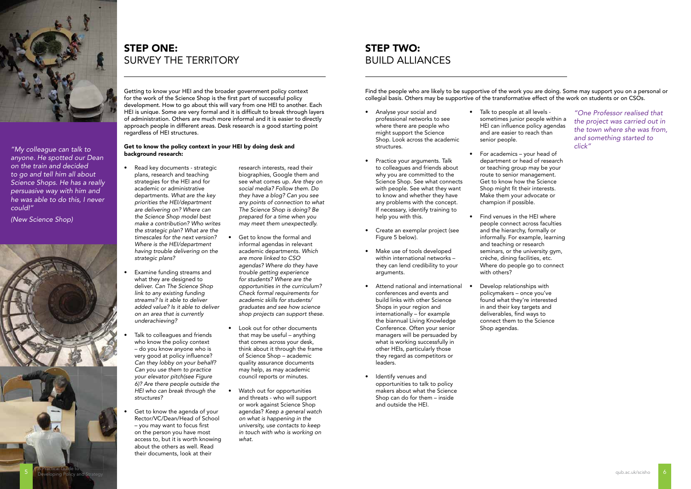Getting to know your HEI and the broader government policy context for the work of the Science Shop is the first part of successful policy development. How to go about this will vary from one HEI to another. Each HEI is unique. Some are very formal and it is difficult to break through layers of administration. Others are much more informal and it is easier to directly approach people in different areas. Desk research is a good starting point regardless of HEI structures.

# Get to know the policy context in your HEI by doing desk and background research:

- Read key documents strategic plans, research and teaching strategies for the HEI and for academic or administrative departments. What are the key priorities the HEI/department are delivering on? Where can the Science Shop model best make a contribution? Who writes the strategic plan? What are the timescales for the next version? Where is the HEI/department having trouble delivering on the strategic plans?
	- Examine funding streams and what they are designed to deliver. Can The Science Shop link to any existing funding streams? Is it able to deliver added value? Is it able to deliver on an area that is currently underachieving?
	- Talk to colleagues and friends who know the policy context – do you know anyone who is very good at policy influence? Can they lobby on your behalf? Can you use them to practice your elevator pitch(see Figure 6)? Are there people outside the HEI who can break through the structures?
- Get to know the agenda of your Rector/VC/Dean/Head of School – you may want to focus first on the person you have most access to, but it is worth knowing about the others as well. Read their documents, look at their

research interests, read their biographies, Google them and see what comes up. Are they on social media? Follow them. Do they have a blog? Can you see any points of connection to what The Science Shop is doing? Be prepared for a time when you may meet them unexpectedly.

- Get to know the formal and informal agendas in relevant academic departments. *Which*  are more linked to CSO agendas? Where do they have trouble getting experience for students? Where are the opportunities in the curriculum? Check formal requirements for academic skills for students/ graduates and see how science shop projects can support these.
- Look out for other documents that may be useful – anything that comes across your desk, think about it through the frame of Science Shop – academic quality assurance documents may help, as may academic council reports or minutes.
- Watch out for opportunities and threats - who will support or work against Science Shop agendas? Keep a general watch on what is happening in the university, use contacts to keep in touch with who is working on what.

# **STEP TWO:** Build alliances

Find the people who are likely to be supportive of the work you are doing. Some may support you on a personal or collegial basis. Others may be supportive of the transformative effect of the work on students or on CSOs.

- Analyse your social and professional networks to see where there are people who might support the Science Shop. Look across the academic structures.
- Practice your arguments. Talk to colleagues and friends about why you are committed to the Science Shop. See what connects with people. See what they want to know and whether they have any problems with the concept. If necessary, identify training to help you with this.
- Create an exemplar project (see Figure 5 below).
- Make use of tools developed within international networks – they can lend credibility to your arguments.
- Attend national and international conferences and events and build links with other Science Shops in your region and internationally – for example the biannual Living Knowledge Conference. Often your senior managers will be persuaded by what is working successfully in other HEIs, particularly those they regard as competitors or leaders.
- Identify venues and opportunities to talk to policy makers about what the Science Shop can do for them – inside and outside the HEI.

sometimes junior people within a HEI can influence policy agendas

- Talk to people at all levels and are easier to reach than senior people.
- For academics your head of department or head of research or teaching group may be your route to senior management. Get to know how the Science Shop might fit their interests. Make them your advocate or champion if possible.
- Find venues in the HEI where people connect across faculties and the hierarchy, formally or informally. For example, learning and teaching or research seminars, or the university gym, crèche, dining facilities, etc. Where do people go to connect with others?
- Develop relationships with policymakers – once you've found what they're interested in and their key targets and deliverables, find ways to connect them to the Science Shop agendas.

"One Professor realised that the project was carried out in the town where she was from, and something started to click"

# Step one: Survey the territory



"My colleague can talk to anyone. He spotted our Dean *on the train and decided*  to go and tell him all about Science Shops. He has a really persuasive way with him and he was able to do this, I never could!"

(New Science Shop)

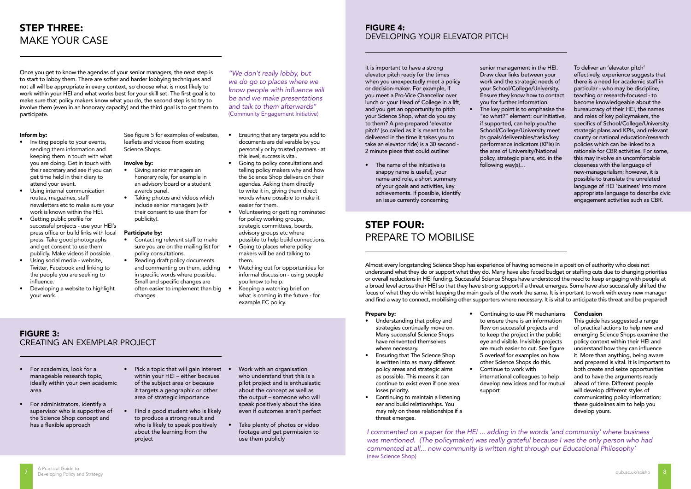Once you get to know the agendas of your senior managers, the next step is to start to lobby them. There are softer and harder lobbying techniques and not all will be appropriate in every context, so choose what is most likely to work within your HEI and what works best for your skill set. The first goal is to make sure that policy makers know what you do, the second step is to try to involve them (even in an honorary capacity) and the third goal is to get them to participate.

#### Inform by:

See figure 5 for examples of websites, leaflets and videos from existing Science Shops.

- Inviting people to your events, sending them information and keeping them in touch with what you are doing. Get in touch with their secretary and see if you can get time held in their diary to attend your event.
- Using internal communication routes, magazines, staff newsletters etc to make sure your work is known within the HEI.
- Getting public profile for successful projects - use your HEI's press office or build links with local press. Take good photographs and get consent to use them publicly. Make videos if possible.
- Using social media website, Twitter, Facebook and linking to the people you are seeking to influence.
- Developing a website to highlight your work.

#### Involve by:

- Giving senior managers an honorary role, for example in an advisory board or a student awards panel.
- Taking photos and videos which include senior managers (with their consent to use them for publicity).

#### Participate by:

- Contacting relevant staff to make sure you are on the mailing list for policy consultations.
- Reading draft policy documents and commenting on them, adding in specific words where possible. Small and specific changes are often easier to implement than big • changes.

• Volunteering or getting nominated

- Ensuring that any targets you add to documents are deliverable by you personally or by trusted partners - at this level, success is vital.
- Going to policy consultations and telling policy makers why and how the Science Shop delivers on their agendas. Asking them directly to write it in, giving them direct words where possible to make it easier for them.
- for policy working groups, strategic committees, boards, advisory groups etc where possible to help build connections.
- Going to places where policy makers will be and talking to them.
- Watching out for opportunities for informal discussion - using people you know to help.
- what is coming in the future for example EC policy.
- 
- 
- Keeping a watching brief on

Almost every longstanding Science Shop has experience of having someone in a position of authority who does not understand what they do or support what they do. Many have also faced budget or staffing cuts due to changing priorities or overall reductions in HEI funding. Successful Science Shops have understood the need to keep engaging with people at a broad level across their HEI so that they have strong support if a threat emerges. Some have also successfully shifted the focus of what they do whilst keeping the main goals of the work the same. It is important to work with every new manager and find a way to connect, mobilising other supporters where necessary. It is vital to anticipate this threat and be prepared!

#### Prepare by:

- Understanding that policy and strategies continually move on. Many successful Science Shops have reinvented themselves where necessary.
- Ensuring that The Science Shop is written into as many different policy areas and strategic aims as possible. This means it can continue to exist even if one area loses priority.
- Continuing to maintain a listening ear and build relationships. You may rely on these relationships if a threat emerges.

• Continuing to use PR mechanisms to ensure there is an information flow on successful projects and to keep the project in the public eye and visible. Invisible projects are much easier to cut. See figure 5 overleaf for examples on how other Science Shops do this. • Continue to work with international colleagues to help

7 A Practical Guide to<br>The Developing Policy and Strategy (Strategy Advanced Strategy Advanced Strategy Advanced Strategy A Developing Policy and Strategy (Strategy A Developing Policy and Strategy A Developing Policy and Developing Policy and Strategy qub.ac.uk/scisho

# develop new ideas and for mutual

support

#### Conclusion

This guide has suggested a range of practical actions to help new and emerging Science Shops examine the policy context within their HEI and understand how they can influence it. More than anything, being aware and prepared is vital. It is important to both create and seize opportunities and to have the arguments ready ahead of time. Different people will develop different styles of communicating policy information; these guidelines aim to help you develop yours.

- For academics, look for a manageable research topic, ideally within your own academic area
- For administrators, identify a supervisor who is supportive of the Science Shop concept and has a flexible approach
- Pick a topic that will gain interest within your HEI – either because of the subject area or because it targets a geographic or other area of strategic importance
- Find a good student who is likely to produce a strong result and who is likely to speak positively about the learning from the project
- Work with an organisation who understand that this is a pilot project and is enthusiastic about the concept as well as the output – someone who will speak positively about the idea even if outcomes aren't perfect
- Take plenty of photos or video footage and get permission to use them publicly

It is important to have a strong elevator pitch ready for the times when you unexpectedly meet a policy or decision-maker. For example, if you meet a Pro-Vice Chancellor over lunch or your Head of College in a lift, and you get an opportunity to pitch your Science Shop, what do you say to them? A pre-prepared 'elevator pitch' (so called as it is meant to be delivered in the time it takes you to take an elevator ride) is a 30 second - 2 minute piece that could outline:

• The name of the initiative (a snappy name is useful), your name and role, a short summary of your goals and activities, key achievements. If possible, identify an issue currently concerning

senior management in the HEI. Draw clear links between your work and the strategic needs of your School/College/University. Ensure they know how to contact you for further information. The key point is to emphasise the "so what?" element: our initiative, if supported, can help you/the School/College/University meet its goals/deliverables/tasks/key performance indicators (KPIs) in the area of University/National policy, strategic plans, etc. in the following way(s)…

To deliver an 'elevator pitch' effectively, experience suggests that there is a need for academic staff in particular - who may be discipline, teaching or research-focused - to become knowledgeable about the bureaucracy of their HEI, the names and roles of key policymakers, the specifics of School/College/University strategic plans and KPIs, and relevant county or national education/research policies which can be linked to a rationale for CBR activities. For some, this may involve an uncomfortable closeness with the language of new-managerialism; however, it is possible to translate the unrelated language of HEI 'business' into more appropriate language to describe civic engagement activities such as CBR.

# Step THREE: Make your case

# Step FOUR: Prepare to Mobilise

# Figure 3: Creating an exemplar project

# Figure 4: Developing your elevator pitch

"We don't really lobby, but we do go to places where we know people with influence will be and we make presentations and talk to them afterwards" (Community Engagement Initiative)

> I commented on a paper for the HEI ... adding in the words 'and community' where business was mentioned. (The policymaker) was really grateful because I was the only person who had commented at all... now community is written right through our Educational Philosophy' (new Science Shop)